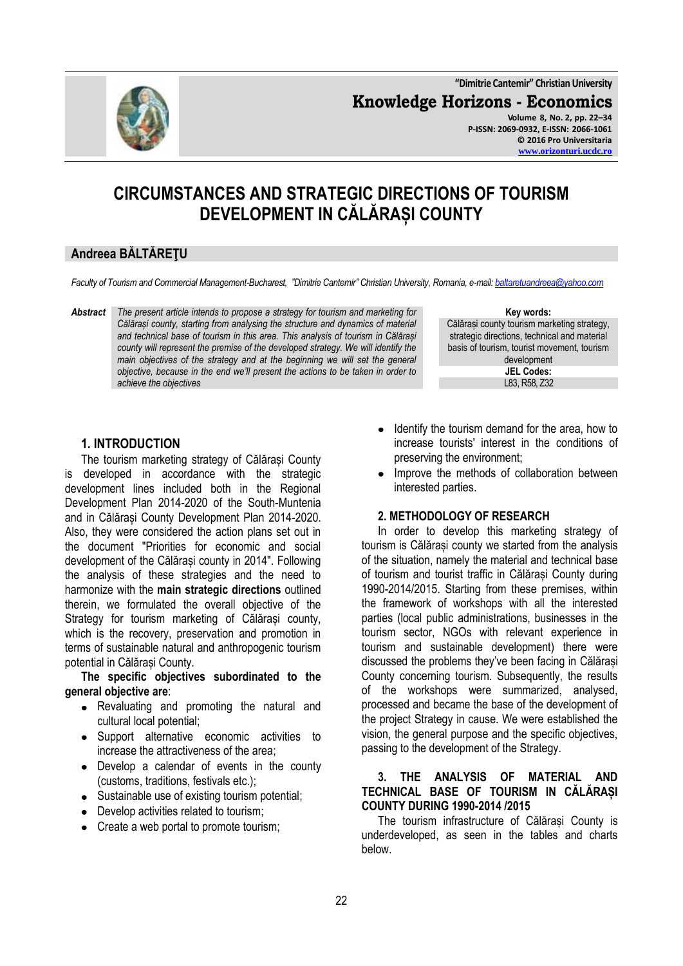**"Dimitrie Cantemir" Christian University**

**Knowledge Horizons - Economics**



**Volume 8, No. 2, pp. 22–34 P-ISSN: 2069-0932, E-ISSN: 2066-1061 © 2016 Pro Universitaria [www.orizonturi.ucdc.ro](http://www.orizonturi.ucdc.ro/)**

# **CIRCUMSTANCES AND STRATEGIC DIRECTIONS OF TOURISM DEVELOPMENT IN CĂLĂRAȘI COUNTY**

## **Andreea BĂLTĂREŢU**

*Faculty of Tourism and Commercial Management-Bucharest, "Dimitrie Cantemir" Christian University, Romania, e-mail[: baltaretuandreea@yahoo.com](mailto:baltaretuandreea@yahoo.com)*

*Abstract The present article intends to propose a strategy for tourism and marketing for Călărași county, starting from analysing the structure and dynamics of material and technical base of tourism in this area. This analysis of tourism in Călărași county will represent the premise of the developed strategy. We will identify the main objectives of the strategy and at the beginning we will set the general objective, because in the end we'll present the actions to be taken in order to achieve the objectives*

## **1. INTRODUCTION**

The tourism marketing strategy of Călărași County is developed in accordance with the strategic development lines included both in the Regional Development Plan 2014-2020 of the South-Muntenia and in Călărași County Development Plan 2014-2020. Also, they were considered the action plans set out in the document "Priorities for economic and social development of the Călărași county in 2014". Following the analysis of these strategies and the need to harmonize with the **main strategic directions** outlined therein, we formulated the overall objective of the Strategy for tourism marketing of Călărași county, which is the recovery, preservation and promotion in terms of sustainable natural and anthropogenic tourism potential in Călărași County.

**The specific objectives subordinated to the general objective are**:

- Revaluating and promoting the natural and cultural local potential;
- Support alternative economic activities to increase the attractiveness of the area;
- Develop a calendar of events in the county (customs, traditions, festivals etc.);
- Sustainable use of existing tourism potential;
- Develop activities related to tourism:
- Create a web portal to promote tourism;

#### **Key words:**

Călărași county tourism marketing strategy, strategic directions, technical and material basis of tourism, tourist movement, tourism development **JEL Codes:** L83, R58, Z32

- $\bullet$ Identify the tourism demand for the area, how to increase tourists' interest in the conditions of preserving the environment;
- Improve the methods of collaboration between interested parties.

## **2. METHODOLOGY OF RESEARCH**

In order to develop this marketing strategy of tourism is Călărași county we started from the analysis of the situation, namely the material and technical base of tourism and tourist traffic in Călărași County during 1990-2014/2015. Starting from these premises, within the framework of workshops with all the interested parties (local public administrations, businesses in the tourism sector, NGOs with relevant experience in tourism and sustainable development) there were discussed the problems they've been facing in Călărași County concerning tourism. Subsequently, the results of the workshops were summarized, analysed, processed and became the base of the development of the project Strategy in cause. We were established the vision, the general purpose and the specific objectives, passing to the development of the Strategy.

## **3. THE ANALYSIS OF MATERIAL AND TECHNICAL BASE OF TOURISM IN CĂLĂRAȘI COUNTY DURING 1990-2014 /2015**

The tourism infrastructure of Călărași County is underdeveloped, as seen in the tables and charts below.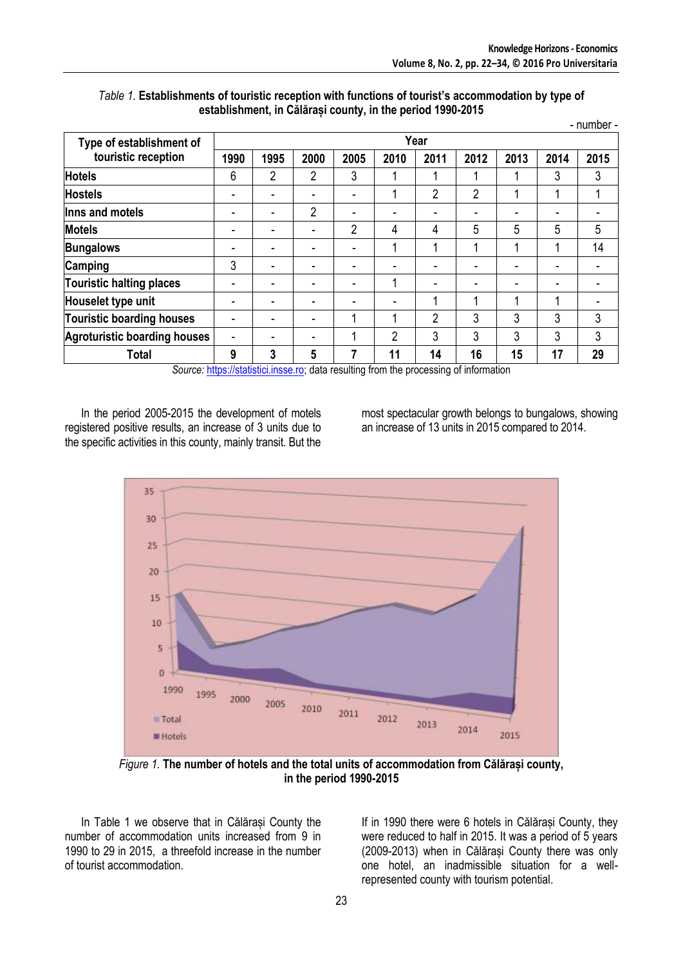|                                     |      |      |      |                |                          |                |                |      |      | - number - |  |  |
|-------------------------------------|------|------|------|----------------|--------------------------|----------------|----------------|------|------|------------|--|--|
| Type of establishment of            | Year |      |      |                |                          |                |                |      |      |            |  |  |
| touristic reception                 | 1990 | 1995 | 2000 | 2005           | 2010                     | 2011           | 2012           | 2013 | 2014 | 2015       |  |  |
| <b>Hotels</b>                       | 6    | 2    | 2    | 3              |                          |                | 1              |      | 3    | 3          |  |  |
| <b>Hostels</b>                      |      |      |      |                |                          | $\overline{2}$ | $\overline{2}$ |      |      |            |  |  |
| Inns and motels                     | ۰    |      | 2    | ٠              | ٠                        |                | ۰              | ۰    | ۰    |            |  |  |
| <b>Motels</b>                       |      |      |      | $\overline{2}$ | 4                        | 4              | 5              | 5    | 5    | 5          |  |  |
| <b>Bungalows</b>                    |      |      |      | ۰              | 4                        | 4              | 1              |      |      | 14         |  |  |
| Camping                             | 3    |      |      | -              | $\overline{\phantom{0}}$ |                | ٠              | -    | -    |            |  |  |
| Touristic halting places            |      |      |      |                | 1                        |                | $\blacksquare$ |      |      |            |  |  |
| Houselet type unit                  |      |      |      |                |                          | 4              | 1              |      |      |            |  |  |
| <b>Touristic boarding houses</b>    | ٠    |      |      |                | 4                        | $\overline{2}$ | 3              | 3    | 3    | 3          |  |  |
| <b>Agroturistic boarding houses</b> |      |      |      |                | 2                        | 3              | 3              | 3    | 3    | 3          |  |  |
| <b>Total</b>                        | 9    | 3    | 5    | 7              | 11                       | 14             | 16             | 15   | 17   | 29         |  |  |

### *Table 1.* **Establishments of touristic reception with functions of tourist's accommodation by type of establishment, in Călărași county, in the period 1990-2015**

*Source:* [https://statistici.insse.ro;](https://statistici.insse.ro/) data resulting from the processing of information

In the period 2005-2015 the development of motels registered positive results, an increase of 3 units due to the specific activities in this county, mainly transit. But the

most spectacular growth belongs to bungalows, showing an increase of 13 units in 2015 compared to 2014.



*Figure 1.* **The number of hotels and the total units of accommodation from Călărași county, in the period 1990-2015**

In Table 1 we observe that in Călărași County the number of accommodation units increased from 9 in 1990 to 29 in 2015, a threefold increase in the number of tourist accommodation.

If in 1990 there were 6 hotels in Călărași County, they were reduced to half in 2015. It was a period of 5 years (2009-2013) when in Călărași County there was only one hotel, an inadmissible situation for a wellrepresented county with tourism potential.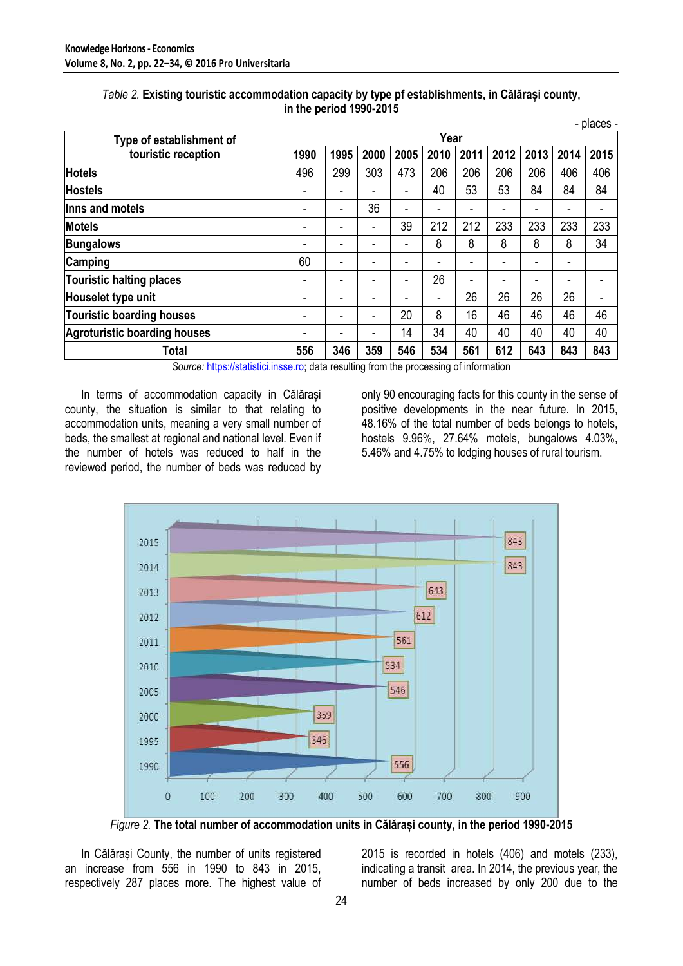|                                            |      |      |      |      |      |      |      |      |      | - places - |
|--------------------------------------------|------|------|------|------|------|------|------|------|------|------------|
| Type of establishment of                   |      |      |      |      | Year |      |      |      |      |            |
| touristic reception                        | 1990 | 1995 | 2000 | 2005 | 2010 | 2011 | 2012 | 2013 | 2014 | 2015       |
| <b>Hotels</b>                              | 496  | 299  | 303  | 473  | 206  | 206  | 206  | 206  | 406  | 406        |
| <b>Hostels</b>                             | ۰    | ۰    |      | ۰    | 40   | 53   | 53   | 84   | 84   | 84         |
| Inns and motels                            |      |      | 36   | -    |      |      |      |      |      |            |
| <b>Motels</b>                              | ٠    |      | ۰    | 39   | 212  | 212  | 233  | 233  | 233  | 233        |
| <b>Bungalows</b>                           | ۰    | ۰    |      | ۰    | 8    | 8    | 8    | 8    | 8    | 34         |
| Camping                                    | 60   |      |      |      |      |      |      |      |      |            |
| <b>Touristic halting places</b>            | ۰    | ۰    |      | ٠    | 26   |      |      | ٠    | ۰    |            |
| Houselet type unit                         | ۰    | ۰    |      |      | ۰    | 26   | 26   | 26   | 26   |            |
| <b>Touristic boarding houses</b>           | ۰    |      |      | 20   | 8    | 16   | 46   | 46   | 46   | 46         |
| <b>Agroturistic boarding houses</b>        | ۰    |      | ۰    | 14   | 34   | 40   | 40   | 40   | 40   | 40         |
| <b>Total</b><br>and a company of the state | 556  | 346  | 359  | 546  | 534  | 561  | 612  | 643  | 843  | 843        |

### *Table 2.* **Existing touristic accommodation capacity by type pf establishments, in Călărași county, in the period 1990-2015**

*Source:* [https://statistici.insse.ro;](https://statistici.insse.ro/) data resulting from the processing of information

In terms of accommodation capacity in Călărași county, the situation is similar to that relating to accommodation units, meaning a very small number of beds, the smallest at regional and national level. Even if the number of hotels was reduced to half in the reviewed period, the number of beds was reduced by only 90 encouraging facts for this county in the sense of positive developments in the near future. In 2015, 48.16% of the total number of beds belongs to hotels, hostels 9.96%, 27.64% motels, bungalows 4.03%, 5.46% and 4.75% to lodging houses of rural tourism.



*Figure 2.* **The total number of accommodation units in Călărași county, in the period 1990-2015**

In Călărași County, the number of units registered an increase from 556 in 1990 to 843 in 2015, respectively 287 places more. The highest value of 2015 is recorded in hotels (406) and motels (233), indicating a transit area. In 2014, the previous year, the number of beds increased by only 200 due to the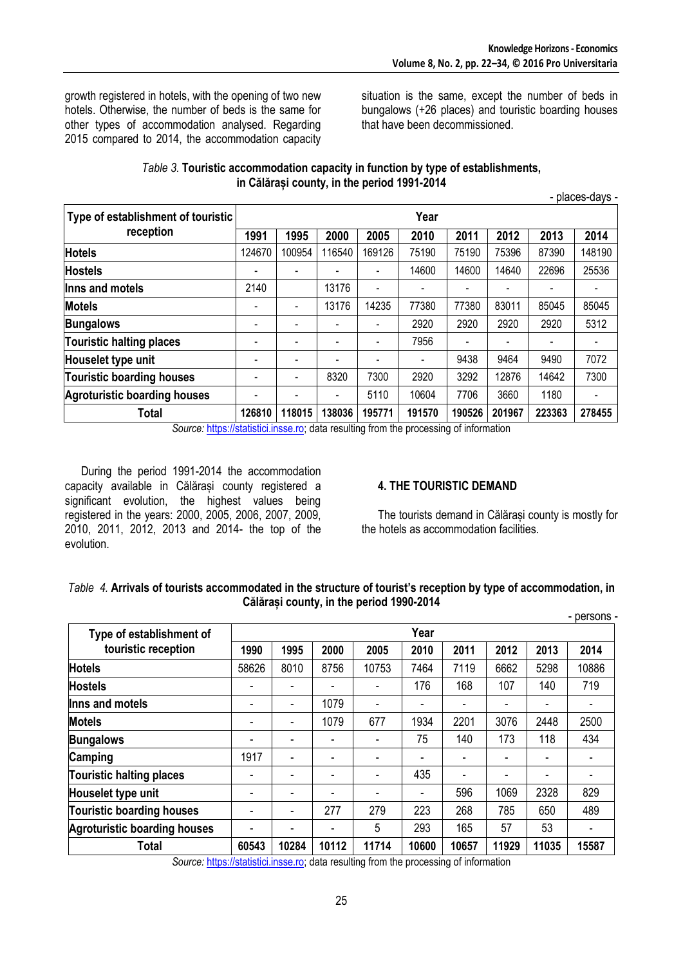- places-days -

growth registered in hotels, with the opening of two new hotels. Otherwise, the number of beds is the same for other types of accommodation analysed. Regarding 2015 compared to 2014, the accommodation capacity situation is the same, except the number of beds in bungalows (+26 places) and touristic boarding houses that have been decommissioned.

| Table 3. Touristic accommodation capacity in function by type of establishments, |
|----------------------------------------------------------------------------------|
| in Călărași county, in the period 1991-2014                                      |

|                                     |        |                          |        |                          |                          |        |        | .      |        |  |  |  |
|-------------------------------------|--------|--------------------------|--------|--------------------------|--------------------------|--------|--------|--------|--------|--|--|--|
| Type of establishment of touristic  | Year   |                          |        |                          |                          |        |        |        |        |  |  |  |
| reception                           | 1991   | 1995                     | 2000   | 2005                     | 2010                     | 2011   | 2012   | 2013   | 2014   |  |  |  |
| <b>Hotels</b>                       | 124670 | 100954                   | 116540 | 169126                   | 75190                    | 75190  | 75396  | 87390  | 148190 |  |  |  |
| <b>Hostels</b>                      |        | -                        |        |                          | 14600                    | 14600  | 14640  | 22696  | 25536  |  |  |  |
| llnns and motels                    | 2140   |                          | 13176  | $\overline{\phantom{0}}$ |                          |        |        |        |        |  |  |  |
| <b>Motels</b>                       |        | -                        | 13176  | 14235                    | 77380                    | 77380  | 83011  | 85045  | 85045  |  |  |  |
| <b>Bungalows</b>                    |        |                          |        |                          | 2920                     | 2920   | 2920   | 2920   | 5312   |  |  |  |
| Touristic halting places            |        | -                        |        |                          | 7956                     |        |        |        |        |  |  |  |
| Houselet type unit                  |        | $\overline{\phantom{0}}$ |        |                          | $\overline{\phantom{a}}$ | 9438   | 9464   | 9490   | 7072   |  |  |  |
| Touristic boarding houses           |        | $\blacksquare$           | 8320   | 7300                     | 2920                     | 3292   | 12876  | 14642  | 7300   |  |  |  |
| <b>Agroturistic boarding houses</b> |        | $\overline{\phantom{0}}$ |        | 5110                     | 10604                    | 7706   | 3660   | 1180   |        |  |  |  |
| Total                               | 126810 | 118015                   | 138036 | 195771                   | 191570                   | 190526 | 201967 | 223363 | 278455 |  |  |  |

*Source:* [https://statistici.insse.ro;](https://statistici.insse.ro/) data resulting from the processing of information

During the period 1991-2014 the accommodation capacity available in Călărași county registered a significant evolution, the highest values being registered in the years: 2000, 2005, 2006, 2007, 2009, 2010, 2011, 2012, 2013 and 2014- the top of the evolution.

## **4. THE TOURISTIC DEMAND**

The tourists demand in Călărași county is mostly for the hotels as accommodation facilities.

### *Table 4.* **Arrivals of tourists accommodated in the structure of tourist's reception by type of accommodation, in Călărași county, in the period 1990-2014**

|                                     |       |       |       |       |                |       |       |       | - persons - |  |  |
|-------------------------------------|-------|-------|-------|-------|----------------|-------|-------|-------|-------------|--|--|
| Type of establishment of            | Year  |       |       |       |                |       |       |       |             |  |  |
| touristic reception                 | 1990  | 1995  | 2000  | 2005  | 2010           | 2011  | 2012  | 2013  | 2014        |  |  |
| <b>Hotels</b>                       | 58626 | 8010  | 8756  | 10753 | 7464           | 7119  | 6662  | 5298  | 10886       |  |  |
| <b>Hostels</b>                      |       |       |       |       | 176            | 168   | 107   | 140   | 719         |  |  |
| Inns and motels                     |       |       | 1079  |       |                |       |       |       |             |  |  |
| <b>Motels</b>                       |       | ٠     | 1079  | 677   | 1934           | 2201  | 3076  | 2448  | 2500        |  |  |
| <b>Bungalows</b>                    |       |       |       |       | 75             | 140   | 173   | 118   | 434         |  |  |
| Camping                             | 1917  |       |       |       |                |       |       |       |             |  |  |
| Touristic halting places            |       |       |       | -     | 435            |       |       |       |             |  |  |
| Houselet type unit                  |       |       |       |       | $\blacksquare$ | 596   | 1069  | 2328  | 829         |  |  |
| Touristic boarding houses           |       |       | 277   | 279   | 223            | 268   | 785   | 650   | 489         |  |  |
| <b>Agroturistic boarding houses</b> |       |       |       | 5     | 293            | 165   | 57    | 53    |             |  |  |
| Total<br>$\sim$<br>1.11             | 60543 | 10284 | 10112 | 11714 | 10600          | 10657 | 11929 | 11035 | 15587       |  |  |

*Source:* [https://statistici.insse.ro;](https://statistici.insse.ro/) data resulting from the processing of information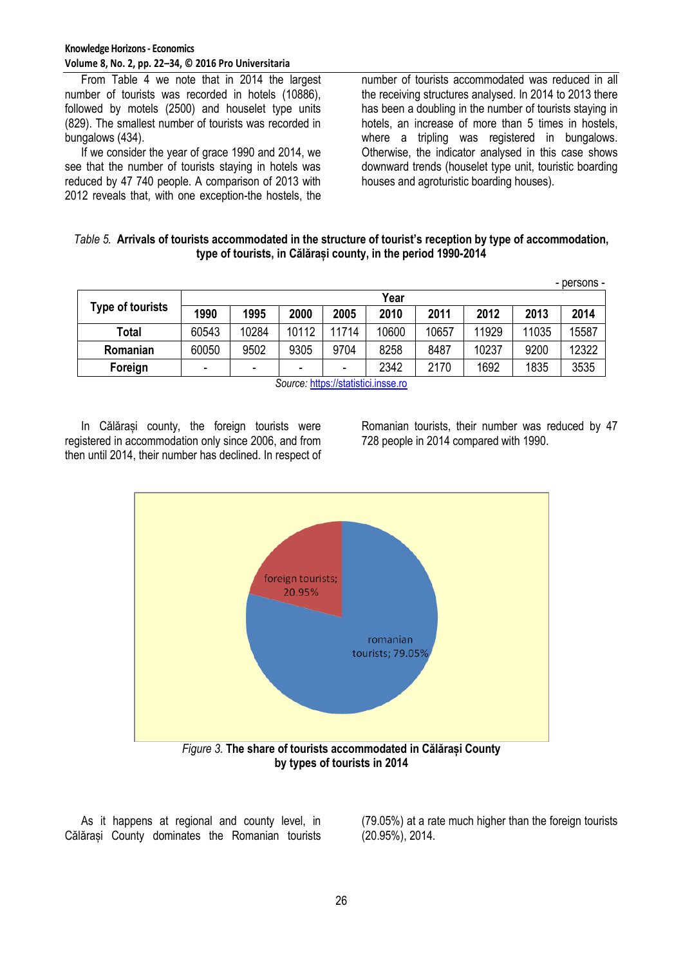From Table 4 we note that in 2014 the largest number of tourists was recorded in hotels (10886), followed by motels (2500) and houselet type units (829). The smallest number of tourists was recorded in bungalows (434).

If we consider the year of grace 1990 and 2014, we see that the number of tourists staying in hotels was reduced by 47 740 people. A comparison of 2013 with 2012 reveals that, with one exception-the hostels, the

number of tourists accommodated was reduced in all the receiving structures analysed. In 2014 to 2013 there has been a doubling in the number of tourists staying in hotels, an increase of more than 5 times in hostels. where a tripling was registered in bungalows. Otherwise, the indicator analysed in this case shows downward trends (houselet type unit, touristic boarding houses and agroturistic boarding houses).

#### *Table 5.* **Arrivals of tourists accommodated in the structure of tourist's reception by type of accommodation, type of tourists, in Călărași county, in the period 1990-2014**

|                  |       |       |                                                              |       |       |       |       |       | - persons - |  |  |  |
|------------------|-------|-------|--------------------------------------------------------------|-------|-------|-------|-------|-------|-------------|--|--|--|
| Type of tourists | Year  |       |                                                              |       |       |       |       |       |             |  |  |  |
|                  | 1990  | 1995  | 2000                                                         | 2005  | 2010  | 2011  | 2012  | 2013  | 2014        |  |  |  |
| Total            | 60543 | 10284 | 10112                                                        | 11714 | 10600 | 10657 | 11929 | 11035 | 15587       |  |  |  |
| Romanian         | 60050 | 9502  | 9305                                                         | 9704  | 8258  | 8487  | 10237 | 9200  | 12322       |  |  |  |
| Foreign          | ٠     | -     | $\overline{\phantom{0}}$                                     | -     | 2342  | 2170  | 1692  | 1835  | 3535        |  |  |  |
|                  |       |       | $\mathbf{Q}$ and the same state of the state of $\mathbf{Q}$ |       |       |       |       |       |             |  |  |  |

*Source:* [https://statistici.insse.ro](https://statistici.insse.ro/)

In Călărași county, the foreign tourists were registered in accommodation only since 2006, and from then until 2014, their number has declined. In respect of Romanian tourists, their number was reduced by 47 728 people in 2014 compared with 1990.



As it happens at regional and county level, in Călărași County dominates the Romanian tourists (79.05%) at a rate much higher than the foreign tourists (20.95%), 2014.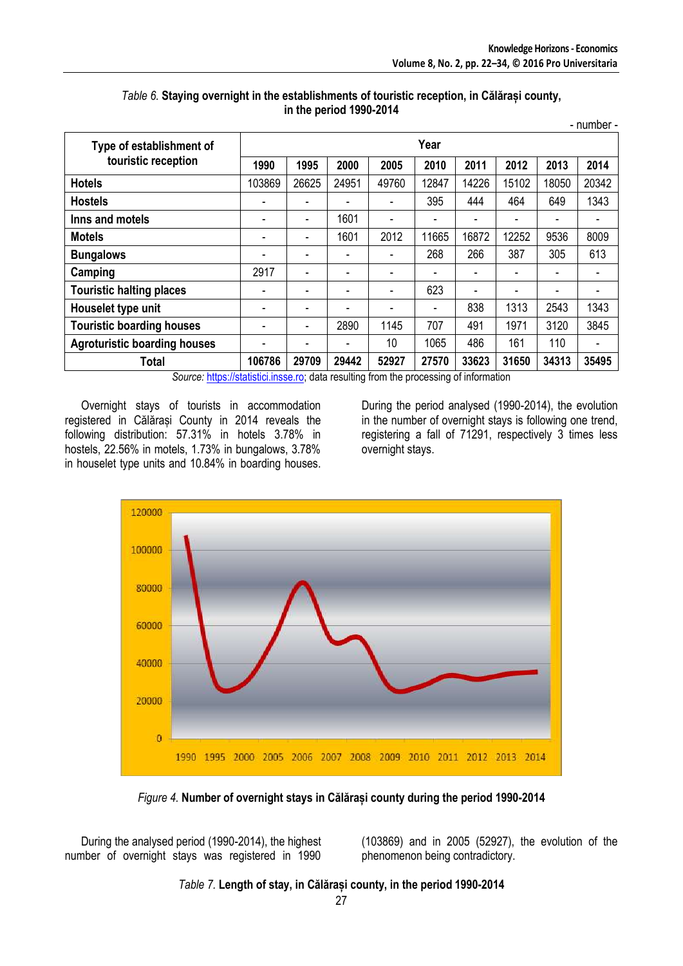|                                     |        |       |                          |       |                |       |       |       | - number - |  |  |
|-------------------------------------|--------|-------|--------------------------|-------|----------------|-------|-------|-------|------------|--|--|
| Type of establishment of            | Year   |       |                          |       |                |       |       |       |            |  |  |
| touristic reception                 | 1990   | 1995  | 2000                     | 2005  | 2010           | 2011  | 2012  | 2013  | 2014       |  |  |
| <b>Hotels</b>                       | 103869 | 26625 | 24951                    | 49760 | 12847          | 14226 | 15102 | 18050 | 20342      |  |  |
| <b>Hostels</b>                      |        |       |                          |       | 395            | 444   | 464   | 649   | 1343       |  |  |
| Inns and motels                     | -      |       | 1601                     |       |                | -     |       |       |            |  |  |
| <b>Motels</b>                       |        |       | 1601                     | 2012  | 11665          | 16872 | 12252 | 9536  | 8009       |  |  |
| <b>Bungalows</b>                    |        |       |                          |       | 268            | 266   | 387   | 305   | 613        |  |  |
| Camping                             | 2917   |       |                          |       |                | -     |       |       |            |  |  |
| <b>Touristic halting places</b>     | -      |       |                          |       | 623            | ۰     | -     |       |            |  |  |
| Houselet type unit                  |        |       | $\overline{\phantom{0}}$ |       | $\blacksquare$ | 838   | 1313  | 2543  | 1343       |  |  |
| <b>Touristic boarding houses</b>    |        |       | 2890                     | 1145  | 707            | 491   | 1971  | 3120  | 3845       |  |  |
| <b>Agroturistic boarding houses</b> |        |       |                          | 10    | 1065           | 486   | 161   | 110   |            |  |  |
| <b>Total</b><br>.                   | 106786 | 29709 | 29442                    | 52927 | 27570          | 33623 | 31650 | 34313 | 35495      |  |  |

### *Table 6.* **Staying overnight in the establishments of touristic reception, in Călărași county, in the period 1990-2014**

*Source:* [https://statistici.insse.ro;](https://statistici.insse.ro/) data resulting from the processing of information

Overnight stays of tourists in accommodation registered in Călărași County in 2014 reveals the following distribution: 57.31% in hotels 3.78% in hostels, 22.56% in motels, 1.73% in bungalows, 3.78% in houselet type units and 10.84% in boarding houses.

During the period analysed (1990-2014), the evolution in the number of overnight stays is following one trend, registering a fall of 71291, respectively 3 times less overnight stays.



*Figure 4.* **Number of overnight stays in Călărași county during the period 1990-2014**

During the analysed period (1990-2014), the highest number of overnight stays was registered in 1990 (103869) and in 2005 (52927), the evolution of the phenomenon being contradictory.

*Table 7.* **Length of stay, in Călărași county, in the period 1990-2014**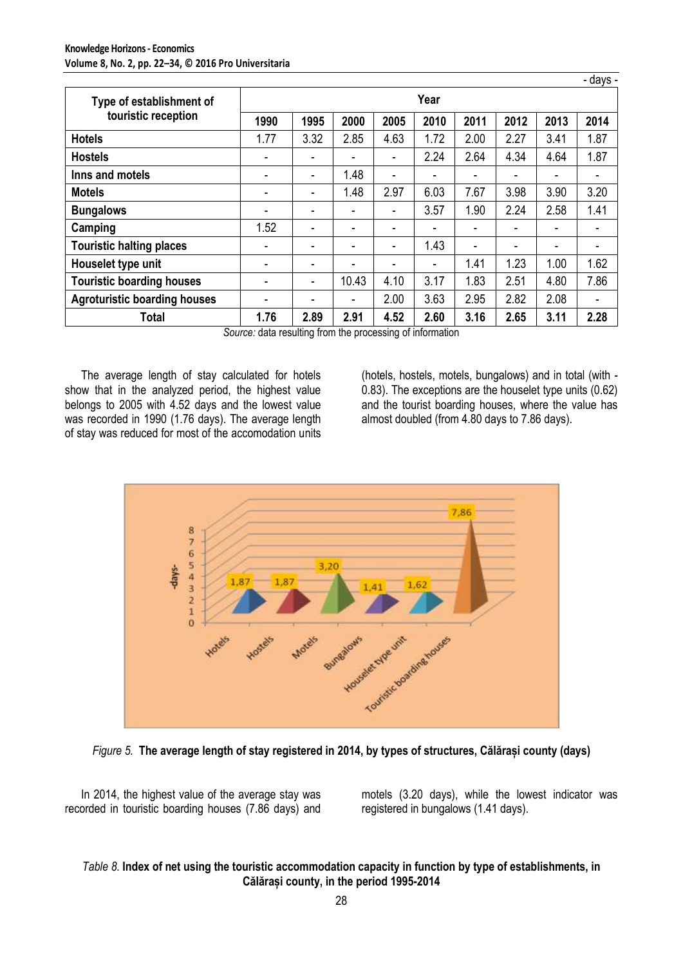|                                     |      |                          |       |      |      |      |      |      | - days - |  |  |
|-------------------------------------|------|--------------------------|-------|------|------|------|------|------|----------|--|--|
| Type of establishment of            | Year |                          |       |      |      |      |      |      |          |  |  |
| touristic reception                 | 1990 | 1995                     | 2000  | 2005 | 2010 | 2011 | 2012 | 2013 | 2014     |  |  |
| <b>Hotels</b>                       | 1.77 | 3.32                     | 2.85  | 4.63 | 1.72 | 2.00 | 2.27 | 3.41 | 1.87     |  |  |
| <b>Hostels</b>                      | ۰    | ۰                        | ۰     | ٠    | 2.24 | 2.64 | 4.34 | 4.64 | 1.87     |  |  |
| Inns and motels                     | ۰    | ۰                        | 1.48  | ۰    |      |      |      | -    |          |  |  |
| <b>Motels</b>                       | ۰    | $\overline{\phantom{a}}$ | 1.48  | 2.97 | 6.03 | 7.67 | 3.98 | 3.90 | 3.20     |  |  |
| <b>Bungalows</b>                    | ۰    | ۰                        | ۰     | ٠    | 3.57 | 1.90 | 2.24 | 2.58 | 1.41     |  |  |
| Camping                             | 1.52 | ۰                        | ۰     | ۰    |      | ۰    |      | ۰    |          |  |  |
| <b>Touristic halting places</b>     |      | ۰                        |       | ۰    | 1.43 | ۰    |      |      |          |  |  |
| Houselet type unit                  | ۰    | ۰                        |       | ۰    |      | 1.41 | 1.23 | 1.00 | 1.62     |  |  |
| <b>Touristic boarding houses</b>    | ۰    | -                        | 10.43 | 4.10 | 3.17 | 1.83 | 2.51 | 4.80 | 7.86     |  |  |
| <b>Agroturistic boarding houses</b> | -    | -                        |       | 2.00 | 3.63 | 2.95 | 2.82 | 2.08 |          |  |  |
| Total                               | 1.76 | 2.89                     | 2.91  | 4.52 | 2.60 | 3.16 | 2.65 | 3.11 | 2.28     |  |  |

*Source:* data resulting from the processing of information

The average length of stay calculated for hotels show that in the analyzed period, the highest value belongs to 2005 with 4.52 days and the lowest value was recorded in 1990 (1.76 days). The average length of stay was reduced for most of the accomodation units

(hotels, hostels, motels, bungalows) and in total (with - 0.83). The exceptions are the houselet type units (0.62) and the tourist boarding houses, where the value has almost doubled (from 4.80 days to 7.86 days).



*Figure 5.* **The average length of stay registered in 2014, by types of structures, Călărași county (days)**

In 2014, the highest value of the average stay was recorded in touristic boarding houses (7.86 days) and motels (3.20 days), while the lowest indicator was registered in bungalows (1.41 days).

## *Table 8.* **Index of net using the touristic accommodation capacity in function by type of establishments, in Călărași county, in the period 1995-2014**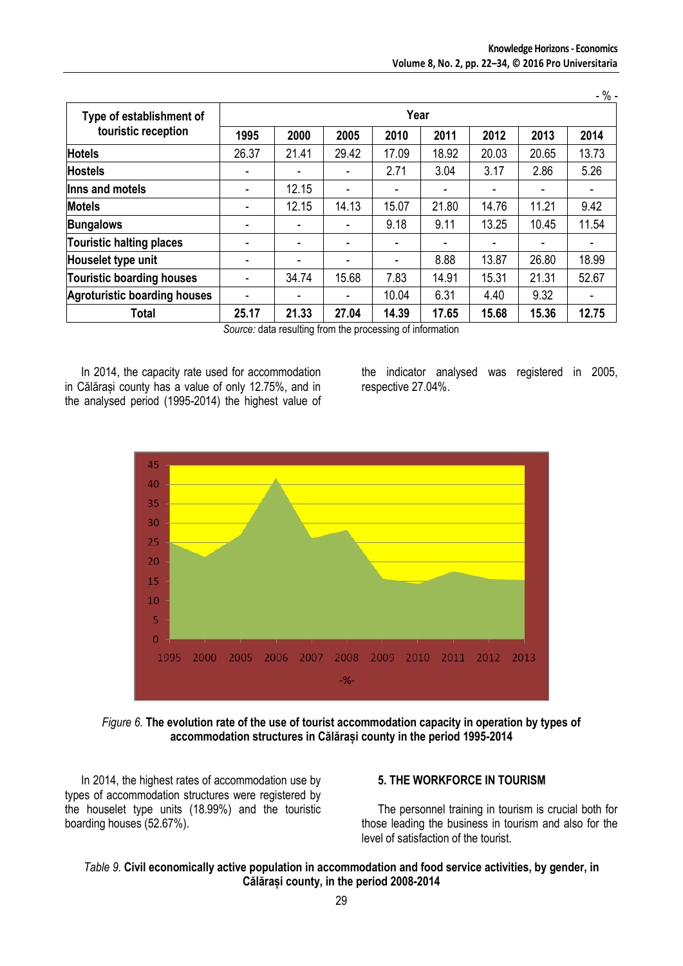|                                     |       |       |       |       |                          |       |       | - % - |  |  |  |
|-------------------------------------|-------|-------|-------|-------|--------------------------|-------|-------|-------|--|--|--|
| Type of establishment of            | Year  |       |       |       |                          |       |       |       |  |  |  |
| touristic reception                 | 1995  | 2000  | 2005  | 2010  | 2011                     | 2012  | 2013  | 2014  |  |  |  |
| <b>Hotels</b>                       | 26.37 | 21.41 | 29.42 | 17.09 | 18.92                    | 20.03 | 20.65 | 13.73 |  |  |  |
| <b>Hostels</b>                      | ٠     |       |       | 2.71  | 3.04                     | 3.17  | 2.86  | 5.26  |  |  |  |
| Inns and motels                     | ٠     | 12.15 | ۰     |       | ۰                        |       |       |       |  |  |  |
| <b>Motels</b>                       |       | 12.15 | 14.13 | 15.07 | 21.80                    | 14.76 | 11.21 | 9.42  |  |  |  |
| <b>Bungalows</b>                    | ۰     |       | ۰     | 9.18  | 9.11                     | 13.25 | 10.45 | 11.54 |  |  |  |
| Touristic halting places            | ٠     |       |       |       | $\overline{\phantom{0}}$ |       |       |       |  |  |  |
| Houselet type unit                  |       |       |       |       | 8.88                     | 13.87 | 26.80 | 18.99 |  |  |  |
| <b>Touristic boarding houses</b>    | ٠     | 34.74 | 15.68 | 7.83  | 14.91                    | 15.31 | 21.31 | 52.67 |  |  |  |
| <b>Agroturistic boarding houses</b> | ٠     |       |       | 10.04 | 6.31                     | 4.40  | 9.32  |       |  |  |  |
| <b>Total</b>                        | 25.17 | 21.33 | 27.04 | 14.39 | 17.65                    | 15.68 | 15.36 | 12.75 |  |  |  |

*Source:* data resulting from the processing of information

In 2014, the capacity rate used for accommodation in Călărași county has a value of only 12.75%, and in the analysed period (1995-2014) the highest value of the indicator analysed was registered in 2005, respective 27.04%.



*Figure 6.* **The evolution rate of the use of tourist accommodation capacity in operation by types of accommodation structures in Călărași county in the period 1995-2014**

In 2014, the highest rates of accommodation use by types of accommodation structures were registered by the houselet type units (18.99%) and the touristic boarding houses (52.67%).

#### **5. THE WORKFORCE IN TOURISM**

The personnel training in tourism is crucial both for those leading the business in tourism and also for the level of satisfaction of the tourist.

## *Table 9.* **Civil economically active population in accommodation and food service activities, by gender, in Călărași county, in the period 2008-2014**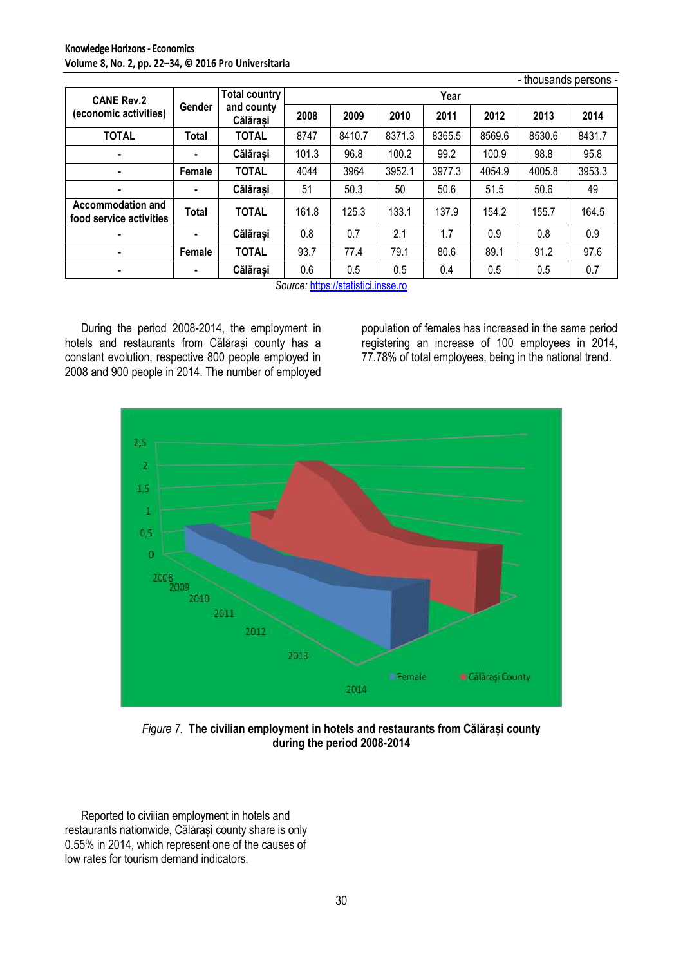|                                                     |        |                        |       |        |        |        |        | - thousands persons - |        |
|-----------------------------------------------------|--------|------------------------|-------|--------|--------|--------|--------|-----------------------|--------|
| <b>CANE Rev.2</b>                                   |        | <b>Total country</b>   |       |        |        | Year   |        |                       |        |
| (economic activities)                               | Gender | and county<br>Călărasi | 2008  | 2009   | 2010   | 2011   | 2012   | 2013                  | 2014   |
| <b>TOTAL</b>                                        | Total  | <b>TOTAL</b>           | 8747  | 8410.7 | 8371.3 | 8365.5 | 8569.6 | 8530.6                | 8431.7 |
| ٠                                                   | ۰.     | Călărasi               | 101.3 | 96.8   | 100.2  | 99.2   | 100.9  | 98.8                  | 95.8   |
| ٠                                                   | Female | <b>TOTAL</b>           | 4044  | 3964   | 3952.1 | 3977.3 | 4054.9 | 4005.8                | 3953.3 |
| ٠                                                   |        | Călărasi               | 51    | 50.3   | 50     | 50.6   | 51.5   | 50.6                  | 49     |
| <b>Accommodation and</b><br>food service activities | Total  | <b>TOTAL</b>           | 161.8 | 125.3  | 133.1  | 137.9  | 154.2  | 155.7                 | 164.5  |
| ٠                                                   |        | Călărași               | 0.8   | 0.7    | 2.1    | 1.7    | 0.9    | 0.8                   | 0.9    |
| ٠                                                   | Female | <b>TOTAL</b>           | 93.7  | 77.4   | 79.1   | 80.6   | 89.1   | 91.2                  | 97.6   |
| ٠                                                   | ٠      | Călărași               | 0.6   | 0.5    | 0.5    | 0.4    | 0.5    | 0.5                   | 0.7    |

*Source:* [https://statistici.insse.ro](https://statistici.insse.ro/)

During the period 2008-2014, the employment in hotels and restaurants from Călărași county has a constant evolution, respective 800 people employed in 2008 and 900 people in 2014. The number of employed population of females has increased in the same period registering an increase of 100 employees in 2014, 77.78% of total employees, being in the national trend.



*Figure 7.* **The civilian employment in hotels and restaurants from Călărași county during the period 2008-2014**

Reported to civilian employment in hotels and restaurants nationwide, Călărași county share is only 0.55% in 2014, which represent one of the causes of low rates for tourism demand indicators.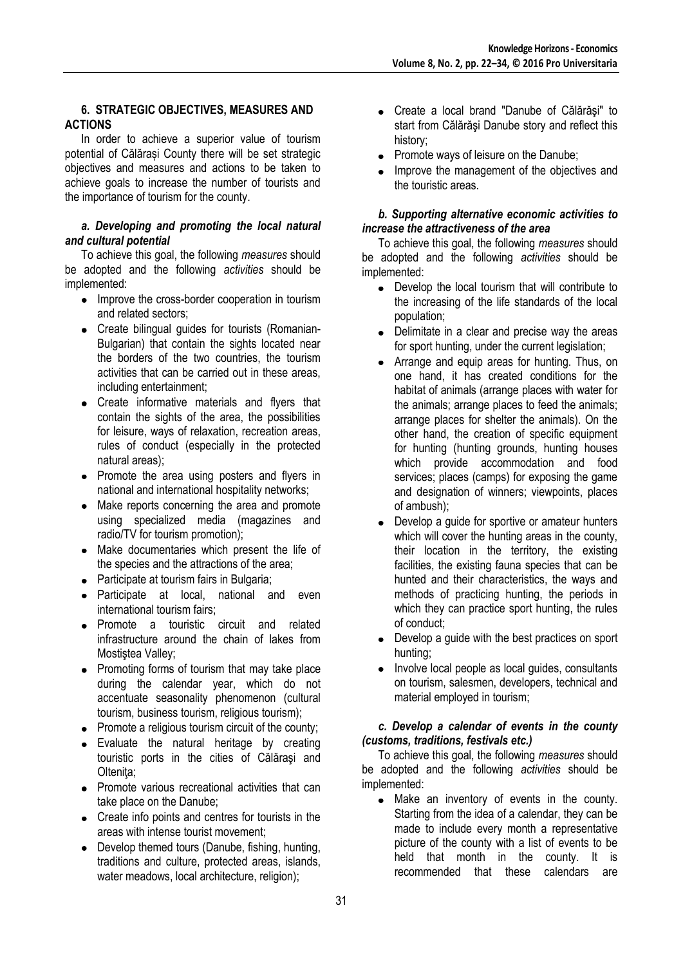## **6. STRATEGIC OBJECTIVES, MEASURES AND ACTIONS**

In order to achieve a superior value of tourism potential of Călărași County there will be set strategic objectives and measures and actions to be taken to achieve goals to increase the number of tourists and the importance of tourism for the county.

#### *a. Developing and promoting the local natural and cultural potential*

To achieve this goal, the following *measures* should be adopted and the following *activities* should be implemented:

- Improve the cross-border cooperation in tourism and related sectors;
- Create bilingual guides for tourists (Romanian-Bulgarian) that contain the sights located near the borders of the two countries, the tourism activities that can be carried out in these areas, including entertainment;
- Create informative materials and flyers that contain the sights of the area, the possibilities for leisure, ways of relaxation, recreation areas, rules of conduct (especially in the protected natural areas);
- Promote the area using posters and flyers in national and international hospitality networks;
- Make reports concerning the area and promote using specialized media (magazines and radio/TV for tourism promotion);
- Make documentaries which present the life of the species and the attractions of the area;
- Participate at tourism fairs in Bulgaria;
- Participate at local, national and even international tourism fairs;
- Promote a touristic circuit and related infrastructure around the chain of lakes from Mostistea Valley;
- Promoting forms of tourism that may take place during the calendar year, which do not accentuate seasonality phenomenon (cultural tourism, business tourism, religious tourism);
- Promote a religious tourism circuit of the county;
- Evaluate the natural heritage by creating touristic ports in the cities of Călăraşi and Oltenita;
- Promote various recreational activities that can take place on the Danube;
- Create info points and centres for tourists in the areas with intense tourist movement;
- Develop themed tours (Danube, fishing, hunting, traditions and culture, protected areas, islands, water meadows, local architecture, religion);
- Create a local brand "Danube of Călărăşi" to start from Călărăşi Danube story and reflect this history;
- $\bullet$ Promote ways of leisure on the Danube;
- Improve the management of the objectives and the touristic areas.

#### *b. Supporting alternative economic activities to increase the attractiveness of the area*

To achieve this goal, the following *measures* should be adopted and the following *activities* should be implemented:

- Develop the local tourism that will contribute to the increasing of the life standards of the local population;
- Delimitate in a clear and precise way the areas for sport hunting, under the current legislation;
- Arrange and equip areas for hunting. Thus, on  $\bullet$ one hand, it has created conditions for the habitat of animals (arrange places with water for the animals; arrange places to feed the animals; arrange places for shelter the animals). On the other hand, the creation of specific equipment for hunting (hunting grounds, hunting houses which provide accommodation and food services; places (camps) for exposing the game and designation of winners; viewpoints, places of ambush);
- Develop a guide for sportive or amateur hunters  $\bullet$ which will cover the hunting areas in the county, their location in the territory, the existing facilities, the existing fauna species that can be hunted and their characteristics, the ways and methods of practicing hunting, the periods in which they can practice sport hunting, the rules of conduct;
- Develop a guide with the best practices on sport hunting;
- Involve local people as local guides, consultants  $\bullet$ on tourism, salesmen, developers, technical and material employed in tourism;

## *c. Develop a calendar of events in the county (customs, traditions, festivals etc.)*

To achieve this goal, the following *measures* should be adopted and the following *activities* should be implemented:

• Make an inventory of events in the county. Starting from the idea of a calendar, they can be made to include every month a representative picture of the county with a list of events to be held that month in the county. It is recommended that these calendars are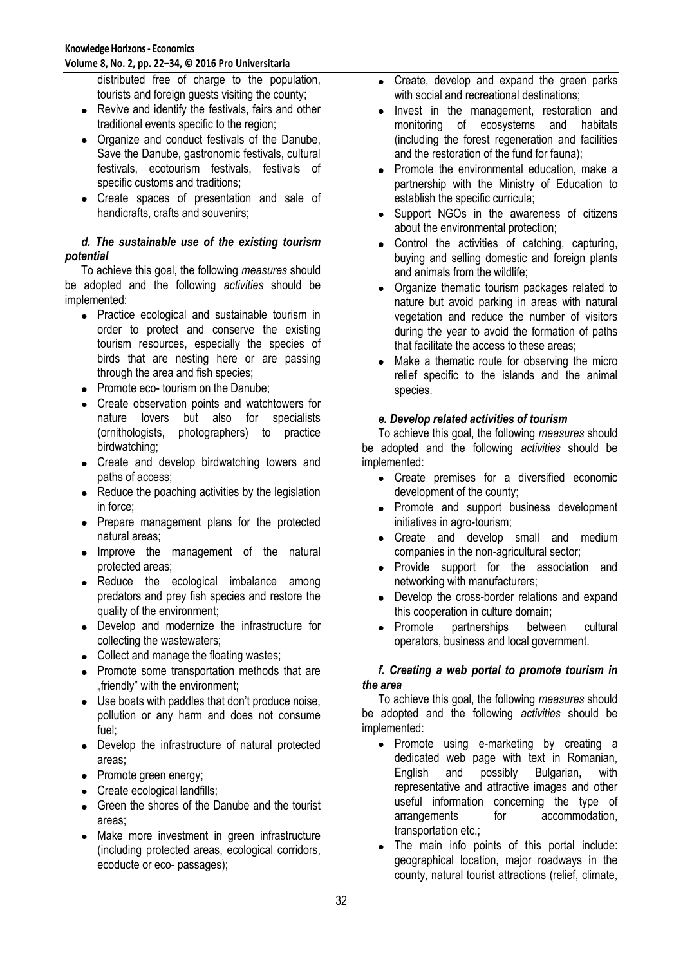**Volume 8, No. 2, pp. 22–34, © 2016 Pro Universitaria**

distributed free of charge to the population, tourists and foreign guests visiting the county;

- Revive and identify the festivals, fairs and other traditional events specific to the region;
- Organize and conduct festivals of the Danube, Save the Danube, gastronomic festivals, cultural festivals, ecotourism festivals, festivals of specific customs and traditions;
- Create spaces of presentation and sale of handicrafts, crafts and souvenirs;

## *d. The sustainable use of the existing tourism potential*

To achieve this goal, the following *measures* should be adopted and the following *activities* should be implemented:

- Practice ecological and sustainable tourism in order to protect and conserve the existing tourism resources, especially the species of birds that are nesting here or are passing through the area and fish species;
- Promote eco- tourism on the Danube;
- Create observation points and watchtowers for nature lovers but also for specialists (ornithologists, photographers) to practice birdwatching;
- Create and develop birdwatching towers and paths of access;
- Reduce the poaching activities by the legislation in force;
- Prepare management plans for the protected natural areas;
- Improve the management of the natural protected areas;
- Reduce the ecological imbalance among predators and prey fish species and restore the quality of the environment;
- Develop and modernize the infrastructure for collecting the wastewaters;
- Collect and manage the floating wastes;
- Promote some transportation methods that are ... friendly" with the environment:
- Use boats with paddles that don't produce noise, pollution or any harm and does not consume fuel;
- Develop the infrastructure of natural protected areas;
- Promote green energy;
- Create ecological landfills;
- Green the shores of the Danube and the tourist areas;
- Make more investment in green infrastructure (including protected areas, ecological corridors, ecoducte or eco- passages);
- Create, develop and expand the green parks with social and recreational destinations;
- Invest in the management, restoration and monitoring of ecosystems and habitats (including the forest regeneration and facilities and the restoration of the fund for fauna);
- Promote the environmental education, make a  $\bullet$ partnership with the Ministry of Education to establish the specific curricula;
- Support NGOs in the awareness of citizens  $\bullet$ about the environmental protection;
- Control the activities of catching, capturing,  $\bullet$ buying and selling domestic and foreign plants and animals from the wildlife;
- Organize thematic tourism packages related to nature but avoid parking in areas with natural vegetation and reduce the number of visitors during the year to avoid the formation of paths that facilitate the access to these areas;
- Make a thematic route for observing the micro  $\bullet$ relief specific to the islands and the animal species.

## *e. Develop related activities of tourism*

To achieve this goal, the following *measures* should be adopted and the following *activities* should be implemented:

- Create premises for a diversified economic development of the county;
- Promote and support business development initiatives in agro-tourism;
- Create and develop small and medium companies in the non-agricultural sector;
- Provide support for the association and  $\bullet$ networking with manufacturers;
- Develop the cross-border relations and expand this cooperation in culture domain;
- Promote partnerships between cultural operators, business and local government.

## *f. Creating a web portal to promote tourism in the area*

To achieve this goal, the following *measures* should be adopted and the following *activities* should be implemented:

- Promote using e-marketing by creating a dedicated web page with text in Romanian, English and possibly Bulgarian, with representative and attractive images and other useful information concerning the type of arrangements for accommodation, transportation etc.;
- The main info points of this portal include: geographical location, major roadways in the county, natural tourist attractions (relief, climate,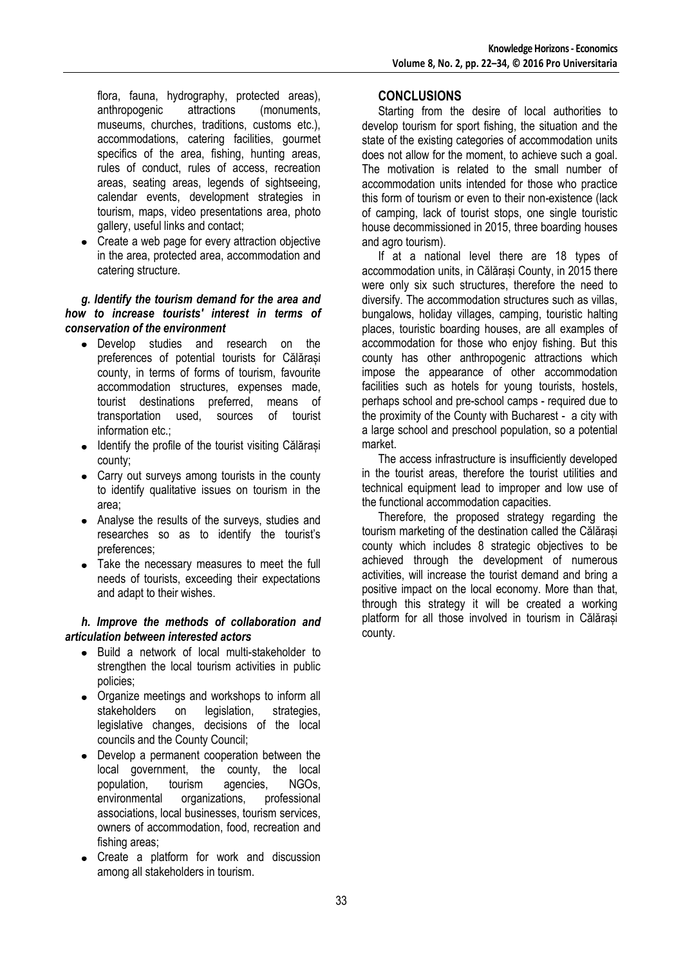flora, fauna, hydrography, protected areas),<br>anthropogenic attractions (monuments. (monuments. museums, churches, traditions, customs etc.), accommodations, catering facilities, gourmet specifics of the area, fishing, hunting areas, rules of conduct, rules of access, recreation areas, seating areas, legends of sightseeing, calendar events, development strategies in tourism, maps, video presentations area, photo gallery, useful links and contact;

Create a web page for every attraction objective in the area, protected area, accommodation and catering structure.

## *g. Identify the tourism demand for the area and how to increase tourists' interest in terms of conservation of the environment*

- Develop studies and research on the preferences of potential tourists for Călărași county, in terms of forms of tourism, favourite accommodation structures, expenses made, tourist destinations preferred, means of transportation used, sources of tourist information etc.;
- Identify the profile of the tourist visiting Călărași county;
- Carry out surveys among tourists in the county to identify qualitative issues on tourism in the area;
- Analyse the results of the surveys, studies and researches so as to identify the tourist's preferences;
- Take the necessary measures to meet the full needs of tourists, exceeding their expectations and adapt to their wishes.

## *h. Improve the methods of collaboration and articulation between interested actors*

- Build a network of local multi-stakeholder to strengthen the local tourism activities in public policies;
- Organize meetings and workshops to inform all stakeholders on legislation, strategies, legislative changes, decisions of the local councils and the County Council;
- Develop a permanent cooperation between the local government, the county, the local population, tourism agencies, NGOs, environmental organizations, professional associations, local businesses, tourism services, owners of accommodation, food, recreation and fishing areas;
- Create a platform for work and discussion among all stakeholders in tourism.

## **CONCLUSIONS**

Starting from the desire of local authorities to develop tourism for sport fishing, the situation and the state of the existing categories of accommodation units does not allow for the moment, to achieve such a goal. The motivation is related to the small number of accommodation units intended for those who practice this form of tourism or even to their non-existence (lack of camping, lack of tourist stops, one single touristic house decommissioned in 2015, three boarding houses and agro tourism).

If at a national level there are 18 types of accommodation units, in Călărași County, in 2015 there were only six such structures, therefore the need to diversify. The accommodation structures such as villas, bungalows, holiday villages, camping, touristic halting places, touristic boarding houses, are all examples of accommodation for those who enjoy fishing. But this county has other anthropogenic attractions which impose the appearance of other accommodation facilities such as hotels for young tourists, hostels, perhaps school and pre-school camps - required due to the proximity of the County with Bucharest - a city with a large school and preschool population, so a potential market.

The access infrastructure is insufficiently developed in the tourist areas, therefore the tourist utilities and technical equipment lead to improper and low use of the functional accommodation capacities.

Therefore, the proposed strategy regarding the tourism marketing of the destination called the Călărași county which includes 8 strategic objectives to be achieved through the development of numerous activities, will increase the tourist demand and bring a positive impact on the local economy. More than that, through this strategy it will be created a working platform for all those involved in tourism in Călărași county.